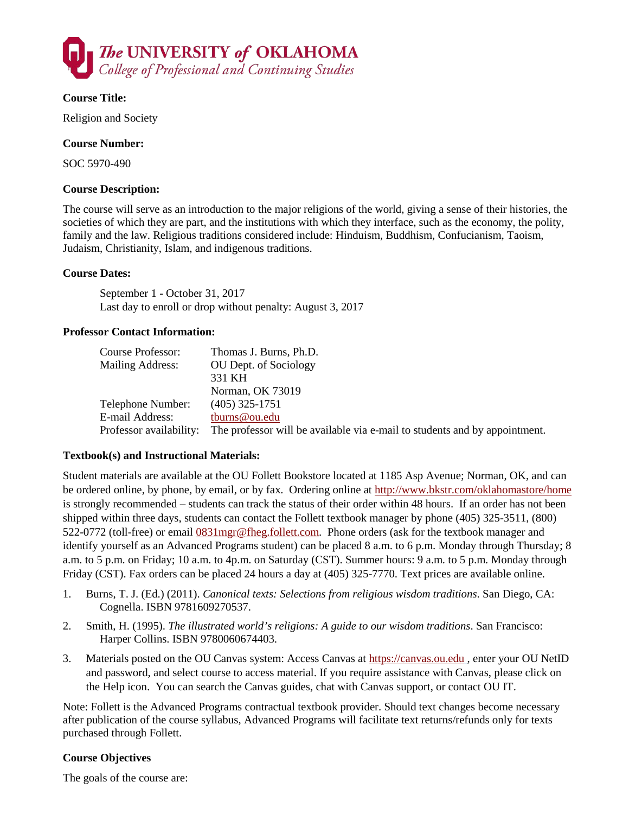

### **Course Title:**

Religion and Society

### **Course Number:**

SOC 5970-490

### **Course Description:**

The course will serve as an introduction to the major religions of the world, giving a sense of their histories, the societies of which they are part, and the institutions with which they interface, such as the economy, the polity, family and the law. Religious traditions considered include: Hinduism, Buddhism, Confucianism, Taoism, Judaism, Christianity, Islam, and indigenous traditions.

#### **Course Dates:**

September 1 - October 31, 2017 Last day to enroll or drop without penalty: August 3, 2017

#### **Professor Contact Information:**

| Course Professor:       | Thomas J. Burns, Ph.D.                                                     |
|-------------------------|----------------------------------------------------------------------------|
| <b>Mailing Address:</b> | OU Dept. of Sociology                                                      |
|                         | 331 KH                                                                     |
|                         | Norman, OK 73019                                                           |
| Telephone Number:       | $(405)$ 325-1751                                                           |
| E-mail Address:         | tburns@ou.edu                                                              |
| Professor availability: | The professor will be available via e-mail to students and by appointment. |

#### **Textbook(s) and Instructional Materials:**

Student materials are available at the OU Follett Bookstore located at 1185 Asp Avenue; Norman, OK, and can be ordered online, by phone, by email, or by fax. Ordering online at<http://www.bkstr.com/oklahomastore/home> is strongly recommended – students can track the status of their order within 48 hours. If an order has not been shipped within three days, students can contact the Follett textbook manager by phone (405) 325-3511, (800) 522-0772 (toll-free) or email [0831mgr@fheg.follett.com.](mailto:0831mgr@fheg.follett.com) Phone orders (ask for the textbook manager and identify yourself as an Advanced Programs student) can be placed 8 a.m. to 6 p.m. Monday through Thursday; 8 a.m. to 5 p.m. on Friday; 10 a.m. to 4p.m. on Saturday (CST). Summer hours: 9 a.m. to 5 p.m. Monday through Friday (CST). Fax orders can be placed 24 hours a day at (405) 325-7770. Text prices are available online.

- 1. Burns, T. J. (Ed.) (2011). *Canonical texts: Selections from religious wisdom traditions*. San Diego, CA: Cognella. ISBN 9781609270537.
- 2. Smith, H. (1995). *The illustrated world's religions: A guide to our wisdom traditions*. San Francisco: Harper Collins. ISBN 9780060674403.
- 3. Materials posted on the OU Canvas system: Access Canvas at [https://canvas.ou.edu](https://canvas.ou.edu/) , enter your OU NetID and password, and select course to access material. If you require assistance with Canvas, please click on the Help icon. You can search the Canvas guides, chat with Canvas support, or contact OU IT.

Note: Follett is the Advanced Programs contractual textbook provider. Should text changes become necessary after publication of the course syllabus, Advanced Programs will facilitate text returns/refunds only for texts purchased through Follett.

#### **Course Objectives**

The goals of the course are: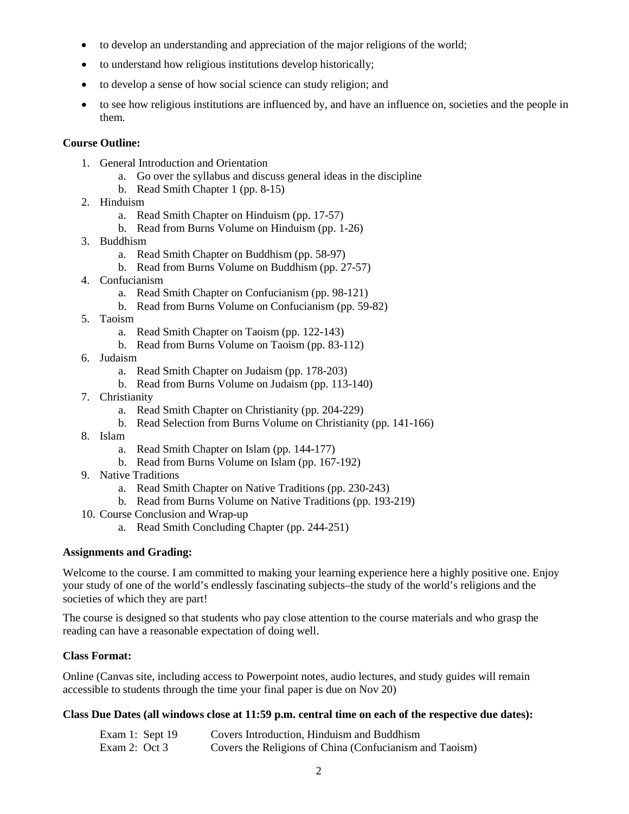- to develop an understanding and appreciation of the major religions of the world;
- to understand how religious institutions develop historically;
- to develop a sense of how social science can study religion; and
- to see how religious institutions are influenced by, and have an influence on, societies and the people in them.

#### **Course Outline:**

- 1. General Introduction and Orientation
	- a. Go over the syllabus and discuss general ideas in the discipline
	- b. Read Smith Chapter 1 (pp. 8-15)
- 2. Hinduism
	- a. Read Smith Chapter on Hinduism (pp. 17-57)
	- b. Read from Burns Volume on Hinduism (pp. 1-26)
- 3. Buddhism
	- a. Read Smith Chapter on Buddhism (pp. 58-97)
	- b. Read from Burns Volume on Buddhism (pp. 27-57)
- 4. Confucianism
	- a. Read Smith Chapter on Confucianism (pp. 98-121)
	- b. Read from Burns Volume on Confucianism (pp. 59-82)
- 5. Taoism
	- a. Read Smith Chapter on Taoism (pp. 122-143)
	- b. Read from Burns Volume on Taoism (pp. 83-112)
- 6. Judaism
	- a. Read Smith Chapter on Judaism (pp. 178-203)
	- b. Read from Burns Volume on Judaism (pp. 113-140)
- 7. Christianity
	- a. Read Smith Chapter on Christianity (pp. 204-229)
	- b. Read Selection from Burns Volume on Christianity (pp. 141-166)
- 8. Islam
	- a. Read Smith Chapter on Islam (pp. 144-177)
	- b. Read from Burns Volume on Islam (pp. 167-192)
- 9. Native Traditions
	- a. Read Smith Chapter on Native Traditions (pp. 230-243)
	- b. Read from Burns Volume on Native Traditions (pp. 193-219)
- 10. Course Conclusion and Wrap-up
	- a. Read Smith Concluding Chapter (pp. 244-251)

#### **Assignments and Grading:**

Welcome to the course. I am committed to making your learning experience here a highly positive one. Enjoy your study of one of the world's endlessly fascinating subjects–the study of the world's religions and the societies of which they are part!

The course is designed so that students who pay close attention to the course materials and who grasp the reading can have a reasonable expectation of doing well.

### **Class Format:**

Online (Canvas site, including access to Powerpoint notes, audio lectures, and study guides will remain accessible to students through the time your final paper is due on Nov 20)

### **Class Due Dates (all windows close at 11:59 p.m. central time on each of the respective due dates):**

| Exam 1: Sept 19 | Covers Introduction, Hinduism and Buddhism              |
|-----------------|---------------------------------------------------------|
| Exam 2: Oct 3   | Covers the Religions of China (Confucianism and Taoism) |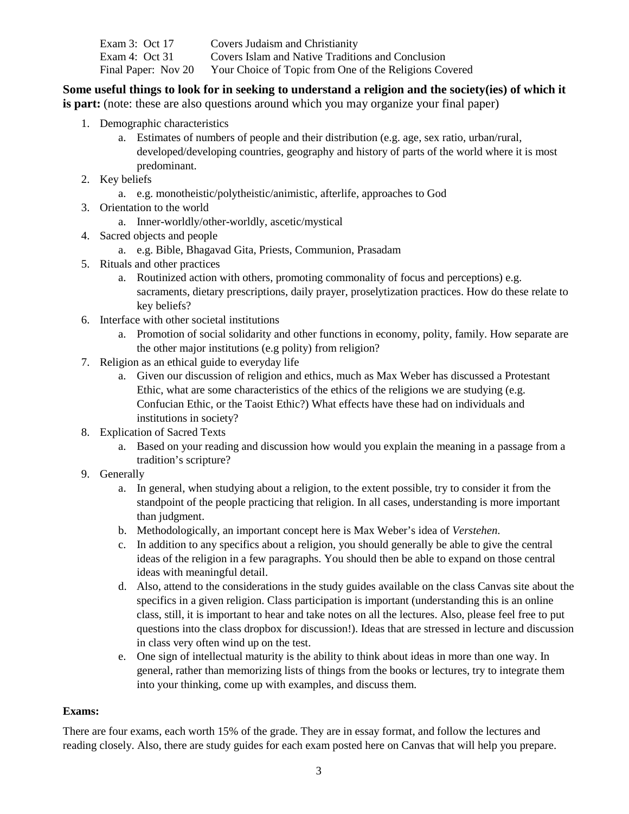| Exam 3: Oct 17      | Covers Judaism and Christianity                        |
|---------------------|--------------------------------------------------------|
| Exam 4: Oct 31      | Covers Islam and Native Traditions and Conclusion      |
| Final Paper: Nov 20 | Your Choice of Topic from One of the Religions Covered |

## **Some useful things to look for in seeking to understand a religion and the society(ies) of which it**

**is part:** (note: these are also questions around which you may organize your final paper)

- 1. Demographic characteristics
	- a. Estimates of numbers of people and their distribution (e.g. age, sex ratio, urban/rural, developed/developing countries, geography and history of parts of the world where it is most predominant.
- 2. Key beliefs
	- a. e.g. monotheistic/polytheistic/animistic, afterlife, approaches to God
- 3. Orientation to the world
	- a. Inner-worldly/other-worldly, ascetic/mystical
- 4. Sacred objects and people
	- a. e.g. Bible, Bhagavad Gita, Priests, Communion, Prasadam
- 5. Rituals and other practices
	- a. Routinized action with others, promoting commonality of focus and perceptions) e.g. sacraments, dietary prescriptions, daily prayer, proselytization practices. How do these relate to key beliefs?
- 6. Interface with other societal institutions
	- a. Promotion of social solidarity and other functions in economy, polity, family. How separate are the other major institutions (e.g polity) from religion?
- 7. Religion as an ethical guide to everyday life
	- a. Given our discussion of religion and ethics, much as Max Weber has discussed a Protestant Ethic, what are some characteristics of the ethics of the religions we are studying (e.g. Confucian Ethic, or the Taoist Ethic?) What effects have these had on individuals and institutions in society?
- 8. Explication of Sacred Texts
	- a. Based on your reading and discussion how would you explain the meaning in a passage from a tradition's scripture?
- 9. Generally
	- a. In general, when studying about a religion, to the extent possible, try to consider it from the standpoint of the people practicing that religion. In all cases, understanding is more important than judgment.
	- b. Methodologically, an important concept here is Max Weber's idea of *Verstehen*.
	- c. In addition to any specifics about a religion, you should generally be able to give the central ideas of the religion in a few paragraphs. You should then be able to expand on those central ideas with meaningful detail.
	- d. Also, attend to the considerations in the study guides available on the class Canvas site about the specifics in a given religion. Class participation is important (understanding this is an online class, still, it is important to hear and take notes on all the lectures. Also, please feel free to put questions into the class dropbox for discussion!). Ideas that are stressed in lecture and discussion in class very often wind up on the test.
	- e. One sign of intellectual maturity is the ability to think about ideas in more than one way. In general, rather than memorizing lists of things from the books or lectures, try to integrate them into your thinking, come up with examples, and discuss them.

#### **Exams:**

There are four exams, each worth 15% of the grade. They are in essay format, and follow the lectures and reading closely. Also, there are study guides for each exam posted here on Canvas that will help you prepare.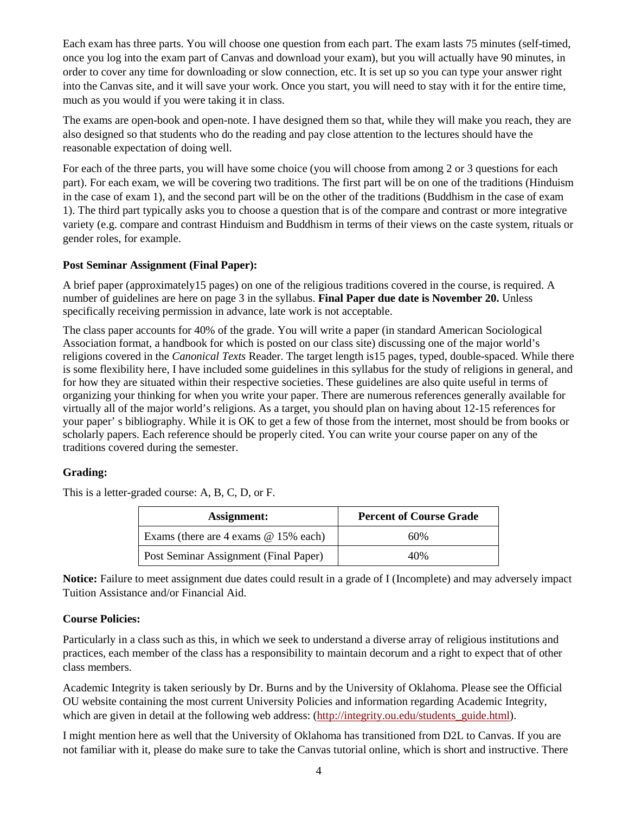Each exam has three parts. You will choose one question from each part. The exam lasts 75 minutes (self-timed, once you log into the exam part of Canvas and download your exam), but you will actually have 90 minutes, in order to cover any time for downloading or slow connection, etc. It is set up so you can type your answer right into the Canvas site, and it will save your work. Once you start, you will need to stay with it for the entire time, much as you would if you were taking it in class.

The exams are open-book and open-note. I have designed them so that, while they will make you reach, they are also designed so that students who do the reading and pay close attention to the lectures should have the reasonable expectation of doing well.

For each of the three parts, you will have some choice (you will choose from among 2 or 3 questions for each part). For each exam, we will be covering two traditions. The first part will be on one of the traditions (Hinduism in the case of exam 1), and the second part will be on the other of the traditions (Buddhism in the case of exam 1). The third part typically asks you to choose a question that is of the compare and contrast or more integrative variety (e.g. compare and contrast Hinduism and Buddhism in terms of their views on the caste system, rituals or gender roles, for example.

### **Post Seminar Assignment (Final Paper):**

A brief paper (approximately15 pages) on one of the religious traditions covered in the course, is required. A number of guidelines are here on page 3 in the syllabus. **Final Paper due date is November 20.** Unless specifically receiving permission in advance, late work is not acceptable.

The class paper accounts for 40% of the grade. You will write a paper (in standard American Sociological Association format, a handbook for which is posted on our class site) discussing one of the major world's religions covered in the *Canonical Texts* Reader. The target length is15 pages, typed, double-spaced. While there is some flexibility here, I have included some guidelines in this syllabus for the study of religions in general, and for how they are situated within their respective societies. These guidelines are also quite useful in terms of organizing your thinking for when you write your paper. There are numerous references generally available for virtually all of the major world's religions. As a target, you should plan on having about 12-15 references for your paper' s bibliography. While it is OK to get a few of those from the internet, most should be from books or scholarly papers. Each reference should be properly cited. You can write your course paper on any of the traditions covered during the semester.

### **Grading:**

This is a letter-graded course: A, B, C, D, or F.

| Assignment:                            | <b>Percent of Course Grade</b> |
|----------------------------------------|--------------------------------|
| Exams (there are 4 exams $@$ 15% each) | 60%                            |
| Post Seminar Assignment (Final Paper)  | 40%                            |

**Notice:** Failure to meet assignment due dates could result in a grade of I (Incomplete) and may adversely impact Tuition Assistance and/or Financial Aid.

### **Course Policies:**

Particularly in a class such as this, in which we seek to understand a diverse array of religious institutions and practices, each member of the class has a responsibility to maintain decorum and a right to expect that of other class members.

Academic Integrity is taken seriously by Dr. Burns and by the University of Oklahoma. Please see the Official OU website containing the most current University Policies and information regarding Academic Integrity, which are given in detail at the following web address: [\(http://integrity.ou.edu/students\\_guide.html\)](http://integrity.ou.edu/students_guide.html).

I might mention here as well that the University of Oklahoma has transitioned from D2L to Canvas. If you are not familiar with it, please do make sure to take the Canvas tutorial online, which is short and instructive. There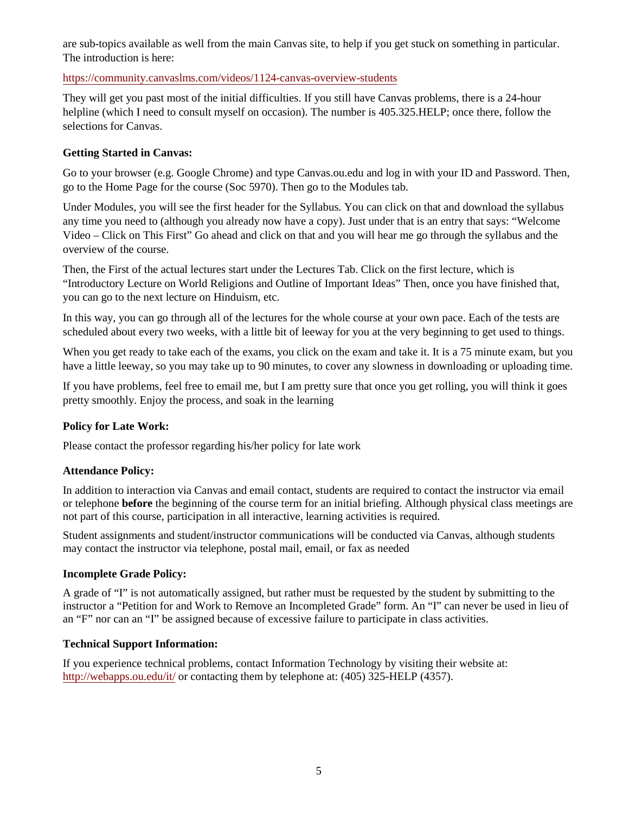are sub-topics available as well from the main Canvas site, to help if you get stuck on something in particular. The introduction is here:

<https://community.canvaslms.com/videos/1124-canvas-overview-students>

They will get you past most of the initial difficulties. If you still have Canvas problems, there is a 24-hour helpline (which I need to consult myself on occasion). The number is 405.325.HELP; once there, follow the selections for Canvas.

### **Getting Started in Canvas:**

Go to your browser (e.g. Google Chrome) and type Canvas.ou.edu and log in with your ID and Password. Then, go to the Home Page for the course (Soc 5970). Then go to the Modules tab.

Under Modules, you will see the first header for the Syllabus. You can click on that and download the syllabus any time you need to (although you already now have a copy). Just under that is an entry that says: "Welcome Video – Click on This First" Go ahead and click on that and you will hear me go through the syllabus and the overview of the course.

Then, the First of the actual lectures start under the Lectures Tab. Click on the first lecture, which is "Introductory Lecture on World Religions and Outline of Important Ideas" Then, once you have finished that, you can go to the next lecture on Hinduism, etc.

In this way, you can go through all of the lectures for the whole course at your own pace. Each of the tests are scheduled about every two weeks, with a little bit of leeway for you at the very beginning to get used to things.

When you get ready to take each of the exams, you click on the exam and take it. It is a 75 minute exam, but you have a little leeway, so you may take up to 90 minutes, to cover any slowness in downloading or uploading time.

If you have problems, feel free to email me, but I am pretty sure that once you get rolling, you will think it goes pretty smoothly. Enjoy the process, and soak in the learning

### **Policy for Late Work:**

Please contact the professor regarding his/her policy for late work

#### **Attendance Policy:**

In addition to interaction via Canvas and email contact, students are required to contact the instructor via email or telephone **before** the beginning of the course term for an initial briefing. Although physical class meetings are not part of this course, participation in all interactive, learning activities is required.

Student assignments and student/instructor communications will be conducted via Canvas, although students may contact the instructor via telephone, postal mail, email, or fax as needed

#### **Incomplete Grade Policy:**

A grade of "I" is not automatically assigned, but rather must be requested by the student by submitting to the instructor a "Petition for and Work to Remove an Incompleted Grade" form. An "I" can never be used in lieu of an "F" nor can an "I" be assigned because of excessive failure to participate in class activities.

#### **Technical Support Information:**

If you experience technical problems, contact Information Technology by visiting their website at: <http://webapps.ou.edu/it/> or contacting them by telephone at: (405) 325-HELP (4357).